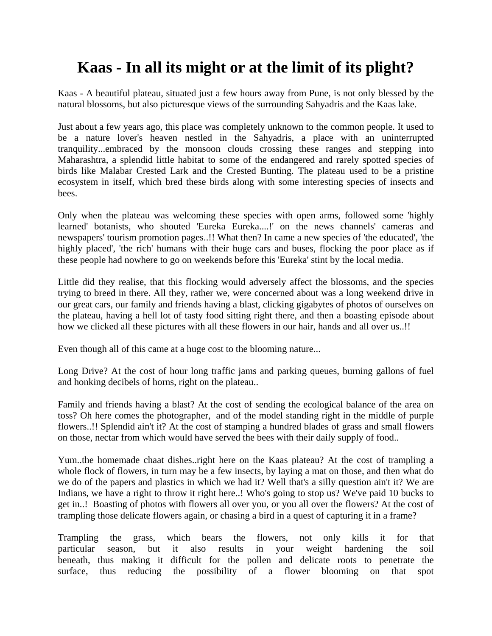## **Kaas - In all its might or at the limit of its plight?**

Kaas - A beautiful plateau, situated just a few hours away from Pune, is not only blessed by the natural blossoms, but also picturesque views of the surrounding Sahyadris and the Kaas lake.

Just about a few years ago, this place was completely unknown to the common people. It used to be a nature lover's heaven nestled in the Sahyadris, a place with an uninterrupted tranquility...embraced by the monsoon clouds crossing these ranges and stepping into Maharashtra, a splendid little habitat to some of the endangered and rarely spotted species of birds like Malabar Crested Lark and the Crested Bunting. The plateau used to be a pristine ecosystem in itself, which bred these birds along with some interesting species of insects and bees.

Only when the plateau was welcoming these species with open arms, followed some 'highly learned' botanists, who shouted 'Eureka Eureka....!' on the news channels' cameras and newspapers' tourism promotion pages..!! What then? In came a new species of 'the educated', 'the highly placed', 'the rich' humans with their huge cars and buses, flocking the poor place as if these people had nowhere to go on weekends before this 'Eureka' stint by the local media.

Little did they realise, that this flocking would adversely affect the blossoms, and the species trying to breed in there. All they, rather we, were concerned about was a long weekend drive in our great cars, our family and friends having a blast, clicking gigabytes of photos of ourselves on the plateau, having a hell lot of tasty food sitting right there, and then a boasting episode about how we clicked all these pictures with all these flowers in our hair, hands and all over us..!!

Even though all of this came at a huge cost to the blooming nature...

Long Drive? At the cost of hour long traffic jams and parking queues, burning gallons of fuel and honking decibels of horns, right on the plateau..

Family and friends having a blast? At the cost of sending the ecological balance of the area on toss? Oh here comes the photographer, and of the model standing right in the middle of purple flowers..!! Splendid ain't it? At the cost of stamping a hundred blades of grass and small flowers on those, nectar from which would have served the bees with their daily supply of food..

Yum..the homemade chaat dishes..right here on the Kaas plateau? At the cost of trampling a whole flock of flowers, in turn may be a few insects, by laying a mat on those, and then what do we do of the papers and plastics in which we had it? Well that's a silly question ain't it? We are Indians, we have a right to throw it right here..! Who's going to stop us? We've paid 10 bucks to get in..! Boasting of photos with flowers all over you, or you all over the flowers? At the cost of trampling those delicate flowers again, or chasing a bird in a quest of capturing it in a frame?

Trampling the grass, which bears the flowers, not only kills it for that particular season, but it also results in your weight hardening the soil beneath, thus making it difficult for the pollen and delicate roots to penetrate the surface, thus reducing the possibility of a flower blooming on that spot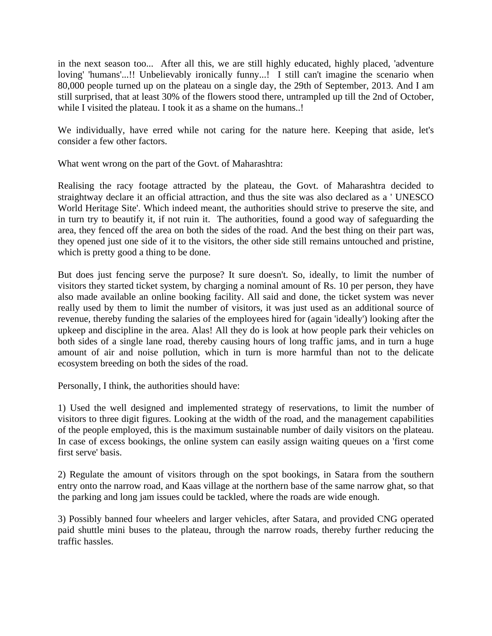in the next season too... After all this, we are still highly educated, highly placed, 'adventure loving' 'humans'...!! Unbelievably ironically funny...! I still can't imagine the scenario when 80,000 people turned up on the plateau on a single day, the 29th of September, 2013. And I am still surprised, that at least 30% of the flowers stood there, untrampled up till the 2nd of October, while I visited the plateau. I took it as a shame on the humans..!

We individually, have erred while not caring for the nature here. Keeping that aside, let's consider a few other factors.

What went wrong on the part of the Govt. of Maharashtra:

Realising the racy footage attracted by the plateau, the Govt. of Maharashtra decided to straightway declare it an official attraction, and thus the site was also declared as a ' UNESCO World Heritage Site'. Which indeed meant, the authorities should strive to preserve the site, and in turn try to beautify it, if not ruin it. The authorities, found a good way of safeguarding the area, they fenced off the area on both the sides of the road. And the best thing on their part was, they opened just one side of it to the visitors, the other side still remains untouched and pristine, which is pretty good a thing to be done.

But does just fencing serve the purpose? It sure doesn't. So, ideally, to limit the number of visitors they started ticket system, by charging a nominal amount of Rs. 10 per person, they have also made available an online booking facility. All said and done, the ticket system was never really used by them to limit the number of visitors, it was just used as an additional source of revenue, thereby funding the salaries of the employees hired for (again 'ideally') looking after the upkeep and discipline in the area. Alas! All they do is look at how people park their vehicles on both sides of a single lane road, thereby causing hours of long traffic jams, and in turn a huge amount of air and noise pollution, which in turn is more harmful than not to the delicate ecosystem breeding on both the sides of the road.

Personally, I think, the authorities should have:

1) Used the well designed and implemented strategy of reservations, to limit the number of visitors to three digit figures. Looking at the width of the road, and the management capabilities of the people employed, this is the maximum sustainable number of daily visitors on the plateau. In case of excess bookings, the online system can easily assign waiting queues on a 'first come first serve' basis.

2) Regulate the amount of visitors through on the spot bookings, in Satara from the southern entry onto the narrow road, and Kaas village at the northern base of the same narrow ghat, so that the parking and long jam issues could be tackled, where the roads are wide enough.

3) Possibly banned four wheelers and larger vehicles, after Satara, and provided CNG operated paid shuttle mini buses to the plateau, through the narrow roads, thereby further reducing the traffic hassles.